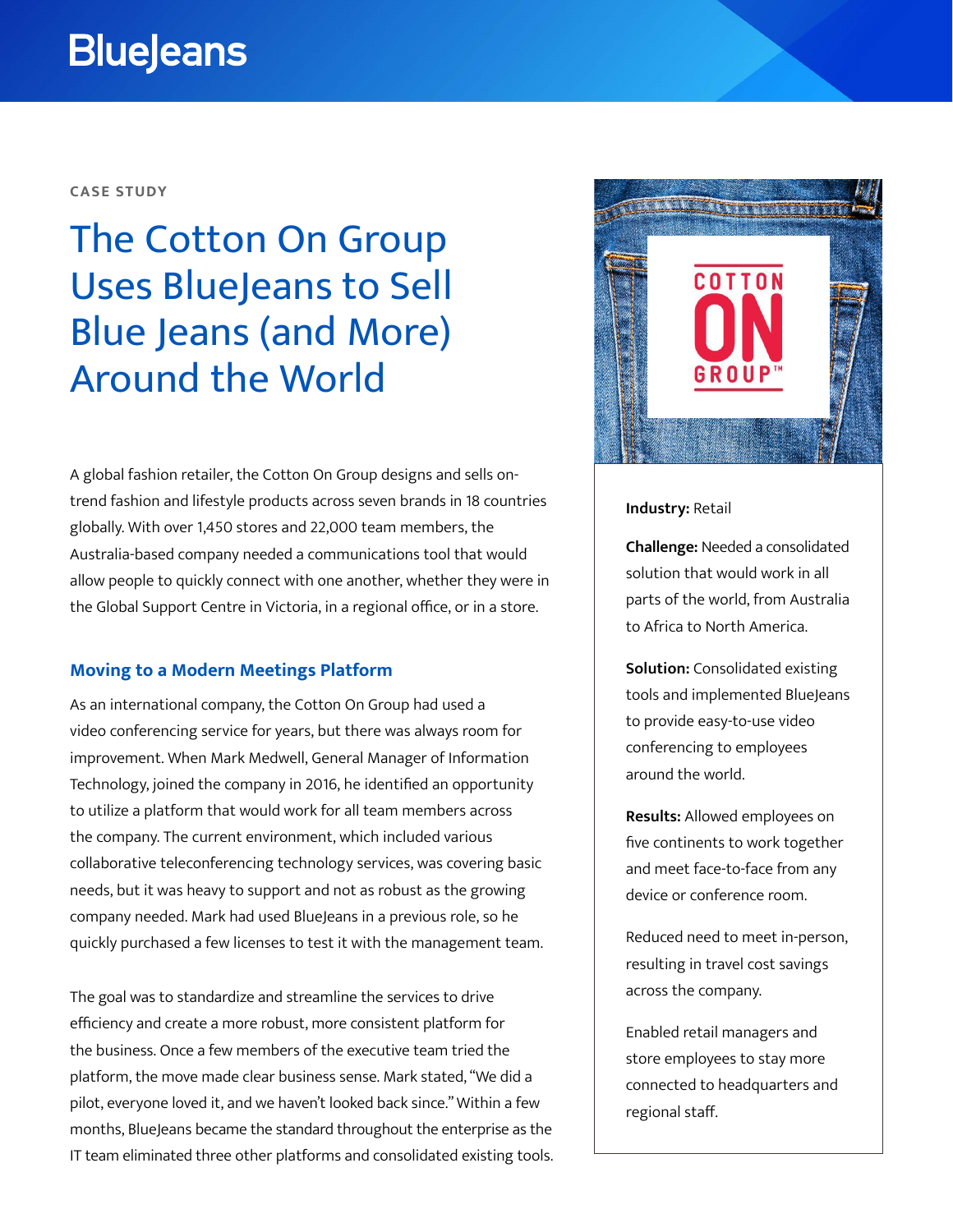# **BlueJeans**

## **CASE STUDY**

## The Cotton On Group Uses BlueJeans to Sell Blue Jeans (and More) Around the World

A global fashion retailer, the Cotton On Group designs and sells ontrend fashion and lifestyle products across seven brands in 18 countries globally. With over 1,450 stores and 22,000 team members, the Australia-based company needed a communications tool that would allow people to quickly connect with one another, whether they were in the Global Support Centre in Victoria, in a regional office, or in a store.

## **Moving to a Modern Meetings Platform**

As an international company, the Cotton On Group had used a video conferencing service for years, but there was always room for improvement. When Mark Medwell, General Manager of Information Technology, joined the company in 2016, he identified an opportunity to utilize a platform that would work for all team members across the company. The current environment, which included various collaborative teleconferencing technology services, was covering basic needs, but it was heavy to support and not as robust as the growing company needed. Mark had used BlueJeans in a previous role, so he quickly purchased a few licenses to test it with the management team.

The goal was to standardize and streamline the services to drive efficiency and create a more robust, more consistent platform for the business. Once a few members of the executive team tried the platform, the move made clear business sense. Mark stated, "We did a pilot, everyone loved it, and we haven't looked back since." Within a few months, BlueJeans became the standard throughout the enterprise as the IT team eliminated three other platforms and consolidated existing tools.



#### **Industry:** Retail

**Challenge:** Needed a consolidated solution that would work in all parts of the world, from Australia to Africa to North America.

**Solution:** Consolidated existing tools and implemented BlueJeans to provide easy-to-use video conferencing to employees around the world.

**Results:** Allowed employees on five continents to work together and meet face-to-face from any device or conference room.

Reduced need to meet in-person, resulting in travel cost savings across the company.

Enabled retail managers and store employees to stay more connected to headquarters and regional staff.